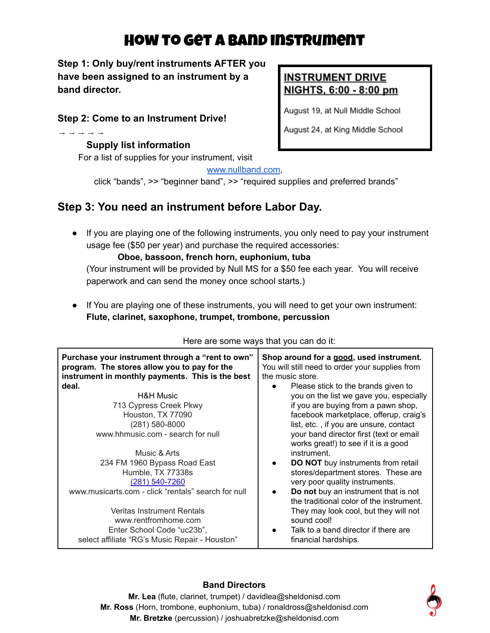# How to get a band instrument

**Step 1: Only buy/rent instruments AFTER you have been assigned to an instrument by a band director.**

# **Step 2: Come to an Instrument Drive!**

## **Supply list information**

⇾⇾⇾⇾⇾

For a list of supplies for your instrument, visit

# **INSTRUMENT DRIVE** NIGHTS, 6:00 - 8:00 pm

August 19, at Null Middle School

August 24, at King Middle School

## [www.nullband.com](http://www.nullband.com),

click "bands", >> "beginner band", >> "required supplies and preferred brands"

# **Step 3: You need an instrument before Labor Day.**

● If you are playing one of the following instruments, you only need to pay your instrument usage fee (\$50 per year) and purchase the required accessories:

## **Oboe, bassoon, french horn, euphonium, tuba**

(Your instrument will be provided by Null MS for a \$50 fee each year. You will receive paperwork and can send the money once school starts.)

● If You are playing one of these instruments, you will need to get your own instrument: **Flute, clarinet, saxophone, trumpet, trombone, percussion**

| <u>HOLD and bonno ways that you ban do it.</u>                                                                                                       |                                                                                                                 |
|------------------------------------------------------------------------------------------------------------------------------------------------------|-----------------------------------------------------------------------------------------------------------------|
| Purchase your instrument through a "rent to own"<br>program. The stores allow you to pay for the<br>instrument in monthly payments. This is the best | Shop around for a good, used instrument.<br>You will still need to order your supplies from<br>the music store. |
| deal.                                                                                                                                                | Please stick to the brands given to                                                                             |
| <b>H&amp;H Music</b>                                                                                                                                 | you on the list we gave you, especially                                                                         |
| 713 Cypress Creek Pkwy                                                                                                                               | if you are buying from a pawn shop,                                                                             |
| Houston, TX 77090                                                                                                                                    | facebook marketplace, offerup, craig's                                                                          |
| (281) 580-8000                                                                                                                                       | list, etc., if you are unsure, contact                                                                          |
| www.hhmusic.com - search for null                                                                                                                    | your band director first (text or email<br>works great!) to see if it is a good                                 |
| Music & Arts                                                                                                                                         | instrument.                                                                                                     |
| 234 FM 1960 Bypass Road East                                                                                                                         | DO NOT buy instruments from retail                                                                              |
| Humble, TX 77338s                                                                                                                                    | stores/department stores. These are                                                                             |
| (281) 540-7260                                                                                                                                       | very poor quality instruments.                                                                                  |
| www.musicarts.com - click "rentals" search for null                                                                                                  | Do not buy an instrument that is not<br>the traditional color of the instrument.                                |
| <b>Veritas Instrument Rentals</b>                                                                                                                    | They may look cool, but they will not                                                                           |
| www.rentfromhome.com                                                                                                                                 | sound cool!                                                                                                     |
| Enter School Code "uc23b",                                                                                                                           | Talk to a band director if there are                                                                            |
| select affiliate "RG's Music Repair - Houston"                                                                                                       | financial hardships.                                                                                            |

#### Here are some ways that you can do it:

## **Band Directors**

**Mr. Lea** (flute, clarinet, trumpet) / davidlea@sheldonisd.com **Mr. Ross** (Horn, trombone, euphonium, tuba) / ronaldross@sheldonisd.com **Mr. Bretzke** (percussion) / joshuabretzke@sheldonisd.com